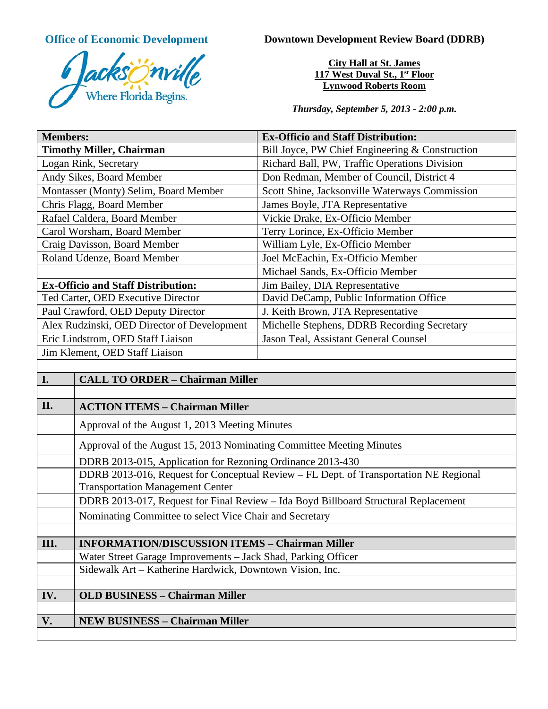

**Office of Economic Development Downtown Development Review Board (DDRB)** 

**City Hall at St. James 117 West Duval St., 1st Floor Lynwood Roberts Room**

*Thursday, September 5, 2013 - 2:00 p.m.*

| <b>Members:</b>                              | <b>Ex-Officio and Staff Distribution:</b>       |
|----------------------------------------------|-------------------------------------------------|
| <b>Timothy Miller, Chairman</b>              | Bill Joyce, PW Chief Engineering & Construction |
| Logan Rink, Secretary                        | Richard Ball, PW, Traffic Operations Division   |
| Andy Sikes, Board Member                     | Don Redman, Member of Council, District 4       |
| Montasser (Monty) Selim, Board Member        | Scott Shine, Jacksonville Waterways Commission  |
| Chris Flagg, Board Member                    | James Boyle, JTA Representative                 |
| Rafael Caldera, Board Member                 | Vickie Drake, Ex-Officio Member                 |
| Carol Worsham, Board Member                  | Terry Lorince, Ex-Officio Member                |
| Craig Davisson, Board Member                 | William Lyle, Ex-Officio Member                 |
| Roland Udenze, Board Member                  | Joel McEachin, Ex-Officio Member                |
|                                              | Michael Sands, Ex-Officio Member                |
| <b>Ex-Officio and Staff Distribution:</b>    | Jim Bailey, DIA Representative                  |
| Ted Carter, OED Executive Director           | David DeCamp, Public Information Office         |
| Paul Crawford, OED Deputy Director           | J. Keith Brown, JTA Representative              |
| Alex Rudzinski, OED Director of Development  | Michelle Stephens, DDRB Recording Secretary     |
| Eric Lindstrom, OED Staff Liaison            | Jason Teal, Assistant General Counsel           |
| Jim Klement, OED Staff Liaison               |                                                 |
|                                              |                                                 |
| I.<br><b>CALL TO ORDER - Chairman Miller</b> |                                                 |
|                                              |                                                 |
| II.<br><b>ACTION ITEMS - Chairman Miller</b> |                                                 |

| П.            | <b>ACTION ITEMS – Chairman Miller</b>                                                                                            |
|---------------|----------------------------------------------------------------------------------------------------------------------------------|
|               | Approval of the August 1, 2013 Meeting Minutes                                                                                   |
|               | Approval of the August 15, 2013 Nominating Committee Meeting Minutes                                                             |
|               | DDRB 2013-015, Application for Rezoning Ordinance 2013-430                                                                       |
|               | DDRB 2013-016, Request for Conceptual Review – FL Dept. of Transportation NE Regional<br><b>Transportation Management Center</b> |
|               | DDRB 2013-017, Request for Final Review - Ida Boyd Billboard Structural Replacement                                              |
|               | Nominating Committee to select Vice Chair and Secretary                                                                          |
|               |                                                                                                                                  |
| III.          | <b>INFORMATION/DISCUSSION ITEMS - Chairman Miller</b>                                                                            |
|               | Water Street Garage Improvements – Jack Shad, Parking Officer                                                                    |
|               | Sidewalk Art - Katherine Hardwick, Downtown Vision, Inc.                                                                         |
|               |                                                                                                                                  |
| IV.           | <b>OLD BUSINESS - Chairman Miller</b>                                                                                            |
|               |                                                                                                                                  |
| $V_{\bullet}$ | <b>NEW BUSINESS - Chairman Miller</b>                                                                                            |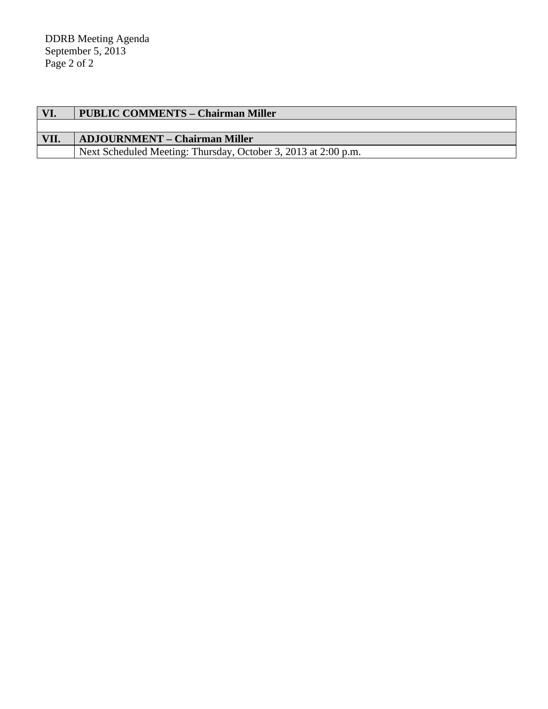| VI.  | <b>PUBLIC COMMENTS - Chairman Miller</b>                       |
|------|----------------------------------------------------------------|
|      |                                                                |
| VII. | <b>ADJOURNMENT – Chairman Miller</b>                           |
|      | Next Scheduled Meeting: Thursday, October 3, 2013 at 2:00 p.m. |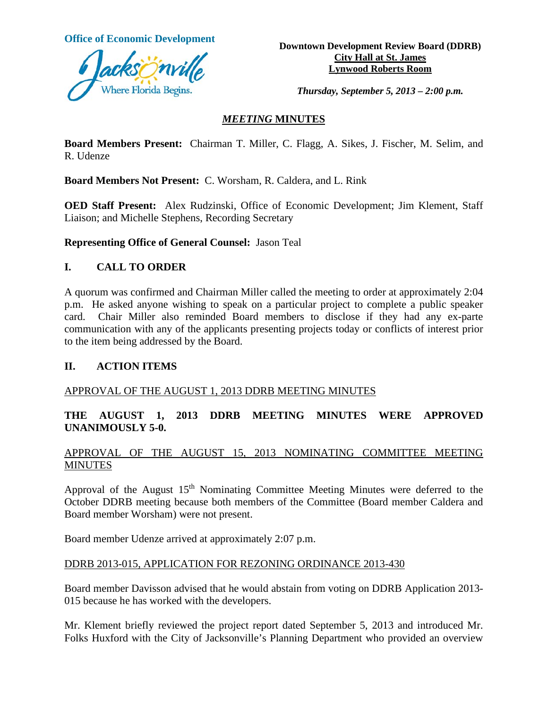

**Office of Economic Development**<br> **Downtown Development Review Board (DDRB) City Hall at St. James Lynwood Roberts Room**

*Thursday, September 5, 2013 – 2:00 p.m.*

## *MEETING* **MINUTES**

**Board Members Present:** Chairman T. Miller, C. Flagg, A. Sikes, J. Fischer, M. Selim, and R. Udenze

**Board Members Not Present:** C. Worsham, R. Caldera, and L. Rink

**OED Staff Present:** Alex Rudzinski, Office of Economic Development; Jim Klement, Staff Liaison; and Michelle Stephens, Recording Secretary

**Representing Office of General Counsel:** Jason Teal

### **I. CALL TO ORDER**

A quorum was confirmed and Chairman Miller called the meeting to order at approximately 2:04 p.m. He asked anyone wishing to speak on a particular project to complete a public speaker card. Chair Miller also reminded Board members to disclose if they had any ex-parte communication with any of the applicants presenting projects today or conflicts of interest prior to the item being addressed by the Board.

### **II. ACTION ITEMS**

### APPROVAL OF THE AUGUST 1, 2013 DDRB MEETING MINUTES

# **THE AUGUST 1, 2013 DDRB MEETING MINUTES WERE APPROVED UNANIMOUSLY 5-0.**

### APPROVAL OF THE AUGUST 15, 2013 NOMINATING COMMITTEE MEETING MINUTES

Approval of the August 15<sup>th</sup> Nominating Committee Meeting Minutes were deferred to the October DDRB meeting because both members of the Committee (Board member Caldera and Board member Worsham) were not present.

Board member Udenze arrived at approximately 2:07 p.m.

### DDRB 2013-015, APPLICATION FOR REZONING ORDINANCE 2013-430

Board member Davisson advised that he would abstain from voting on DDRB Application 2013- 015 because he has worked with the developers.

Mr. Klement briefly reviewed the project report dated September 5, 2013 and introduced Mr. Folks Huxford with the City of Jacksonville's Planning Department who provided an overview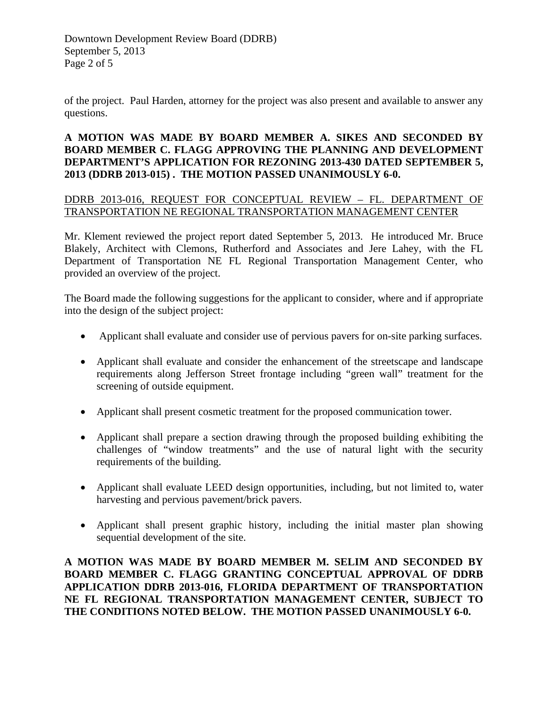Downtown Development Review Board (DDRB) September 5, 2013 Page 2 of 5

of the project. Paul Harden, attorney for the project was also present and available to answer any questions.

# **A MOTION WAS MADE BY BOARD MEMBER A. SIKES AND SECONDED BY BOARD MEMBER C. FLAGG APPROVING THE PLANNING AND DEVELOPMENT DEPARTMENT'S APPLICATION FOR REZONING 2013-430 DATED SEPTEMBER 5, 2013 (DDRB 2013-015) . THE MOTION PASSED UNANIMOUSLY 6-0.**

### DDRB 2013-016, REQUEST FOR CONCEPTUAL REVIEW – FL. DEPARTMENT OF TRANSPORTATION NE REGIONAL TRANSPORTATION MANAGEMENT CENTER

Mr. Klement reviewed the project report dated September 5, 2013. He introduced Mr. Bruce Blakely, Architect with Clemons, Rutherford and Associates and Jere Lahey, with the FL Department of Transportation NE FL Regional Transportation Management Center, who provided an overview of the project.

The Board made the following suggestions for the applicant to consider, where and if appropriate into the design of the subject project:

- Applicant shall evaluate and consider use of pervious pavers for on-site parking surfaces.
- Applicant shall evaluate and consider the enhancement of the streetscape and landscape requirements along Jefferson Street frontage including "green wall" treatment for the screening of outside equipment.
- Applicant shall present cosmetic treatment for the proposed communication tower.
- Applicant shall prepare a section drawing through the proposed building exhibiting the challenges of "window treatments" and the use of natural light with the security requirements of the building.
- Applicant shall evaluate LEED design opportunities, including, but not limited to, water harvesting and pervious pavement/brick pavers.
- Applicant shall present graphic history, including the initial master plan showing sequential development of the site.

**A MOTION WAS MADE BY BOARD MEMBER M. SELIM AND SECONDED BY BOARD MEMBER C. FLAGG GRANTING CONCEPTUAL APPROVAL OF DDRB APPLICATION DDRB 2013-016, FLORIDA DEPARTMENT OF TRANSPORTATION NE FL REGIONAL TRANSPORTATION MANAGEMENT CENTER, SUBJECT TO THE CONDITIONS NOTED BELOW. THE MOTION PASSED UNANIMOUSLY 6-0.**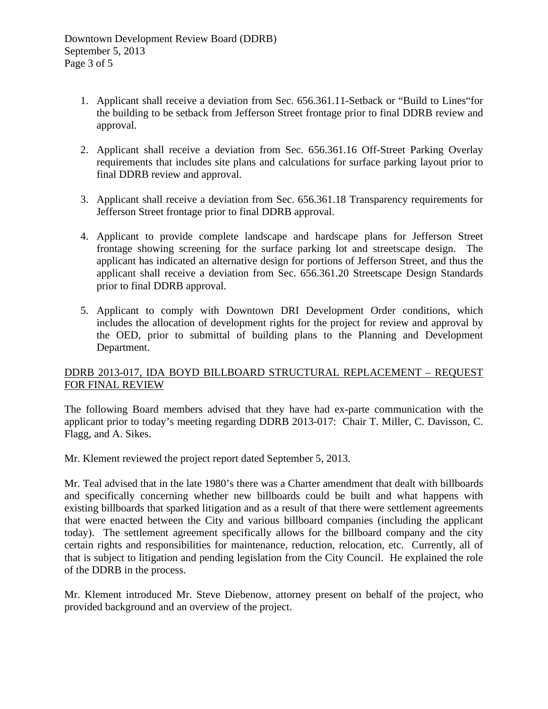- 1. Applicant shall receive a deviation from Sec. 656.361.11-Setback or "Build to Lines"for the building to be setback from Jefferson Street frontage prior to final DDRB review and approval.
- 2. Applicant shall receive a deviation from Sec. 656.361.16 Off-Street Parking Overlay requirements that includes site plans and calculations for surface parking layout prior to final DDRB review and approval.
- 3. Applicant shall receive a deviation from Sec. 656.361.18 Transparency requirements for Jefferson Street frontage prior to final DDRB approval.
- 4. Applicant to provide complete landscape and hardscape plans for Jefferson Street frontage showing screening for the surface parking lot and streetscape design. The applicant has indicated an alternative design for portions of Jefferson Street, and thus the applicant shall receive a deviation from Sec. 656.361.20 Streetscape Design Standards prior to final DDRB approval.
- 5. Applicant to comply with Downtown DRI Development Order conditions, which includes the allocation of development rights for the project for review and approval by the OED, prior to submittal of building plans to the Planning and Development Department.

# DDRB 2013-017, IDA BOYD BILLBOARD STRUCTURAL REPLACEMENT – REQUEST FOR FINAL REVIEW

The following Board members advised that they have had ex-parte communication with the applicant prior to today's meeting regarding DDRB 2013-017: Chair T. Miller, C. Davisson, C. Flagg, and A. Sikes.

Mr. Klement reviewed the project report dated September 5, 2013.

Mr. Teal advised that in the late 1980's there was a Charter amendment that dealt with billboards and specifically concerning whether new billboards could be built and what happens with existing billboards that sparked litigation and as a result of that there were settlement agreements that were enacted between the City and various billboard companies (including the applicant today). The settlement agreement specifically allows for the billboard company and the city certain rights and responsibilities for maintenance, reduction, relocation, etc. Currently, all of that is subject to litigation and pending legislation from the City Council. He explained the role of the DDRB in the process.

Mr. Klement introduced Mr. Steve Diebenow, attorney present on behalf of the project, who provided background and an overview of the project.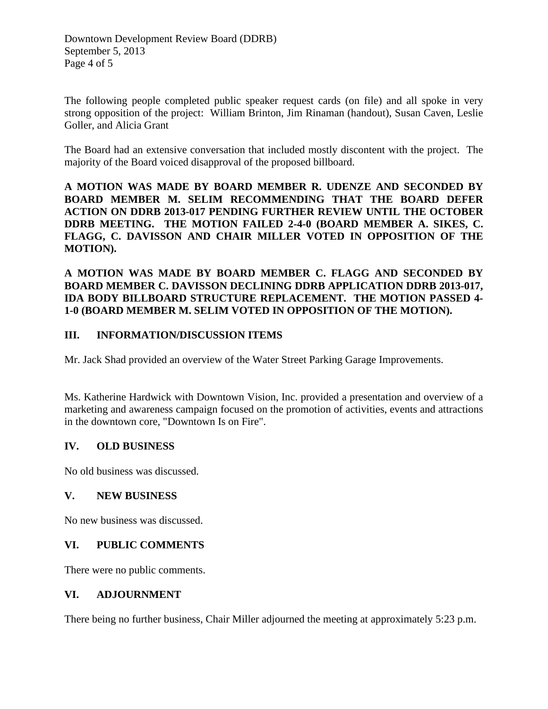The following people completed public speaker request cards (on file) and all spoke in very strong opposition of the project: William Brinton, Jim Rinaman (handout), Susan Caven, Leslie Goller, and Alicia Grant

The Board had an extensive conversation that included mostly discontent with the project. The majority of the Board voiced disapproval of the proposed billboard.

**A MOTION WAS MADE BY BOARD MEMBER R. UDENZE AND SECONDED BY BOARD MEMBER M. SELIM RECOMMENDING THAT THE BOARD DEFER ACTION ON DDRB 2013-017 PENDING FURTHER REVIEW UNTIL THE OCTOBER DDRB MEETING. THE MOTION FAILED 2-4-0 (BOARD MEMBER A. SIKES, C. FLAGG, C. DAVISSON AND CHAIR MILLER VOTED IN OPPOSITION OF THE MOTION).**

**A MOTION WAS MADE BY BOARD MEMBER C. FLAGG AND SECONDED BY BOARD MEMBER C. DAVISSON DECLINING DDRB APPLICATION DDRB 2013-017, IDA BODY BILLBOARD STRUCTURE REPLACEMENT. THE MOTION PASSED 4- 1-0 (BOARD MEMBER M. SELIM VOTED IN OPPOSITION OF THE MOTION).**

# **III. INFORMATION/DISCUSSION ITEMS**

Mr. Jack Shad provided an overview of the Water Street Parking Garage Improvements.

Ms. Katherine Hardwick with Downtown Vision, Inc. provided a presentation and overview of a marketing and awareness campaign focused on the promotion of activities, events and attractions in the downtown core, "Downtown Is on Fire".

### **IV. OLD BUSINESS**

No old business was discussed.

### **V. NEW BUSINESS**

No new business was discussed.

### **VI. PUBLIC COMMENTS**

There were no public comments.

### **VI. ADJOURNMENT**

There being no further business, Chair Miller adjourned the meeting at approximately 5:23 p.m.